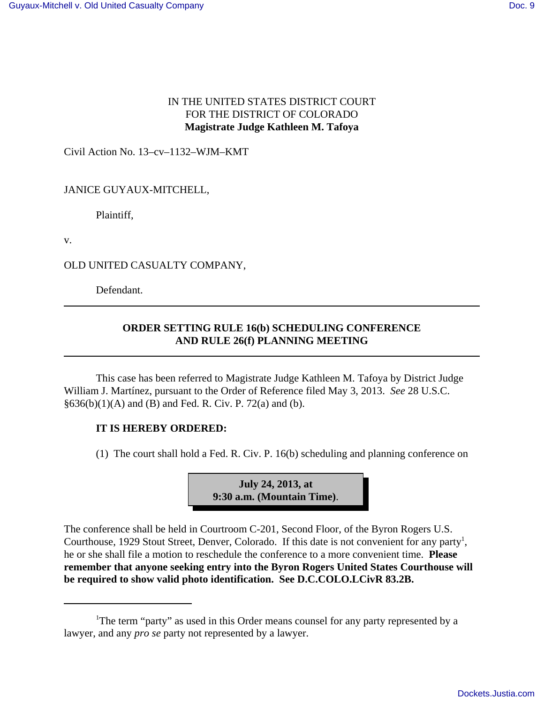## IN THE UNITED STATES DISTRICT COURT FOR THE DISTRICT OF COLORADO **Magistrate Judge Kathleen M. Tafoya**

Civil Action No. 13–cv–1132–WJM–KMT

## JANICE GUYAUX-MITCHELL,

Plaintiff,

v.

OLD UNITED CASUALTY COMPANY,

Defendant.

## **ORDER SETTING RULE 16(b) SCHEDULING CONFERENCE AND RULE 26(f) PLANNING MEETING**

This case has been referred to Magistrate Judge Kathleen M. Tafoya by District Judge William J. Martínez, pursuant to the Order of Reference filed May 3, 2013. *See* 28 U.S.C.  $§636(b)(1)(A)$  and (B) and Fed. R. Civ. P. 72(a) and (b).

## **IT IS HEREBY ORDERED:**

(1) The court shall hold a Fed. R. Civ. P. 16(b) scheduling and planning conference on



The conference shall be held in Courtroom C-201, Second Floor, of the Byron Rogers U.S. Courthouse, 1929 Stout Street, Denver, Colorado. If this date is not convenient for any party<sup>1</sup>, he or she shall file a motion to reschedule the conference to a more convenient time. **Please remember that anyone seeking entry into the Byron Rogers United States Courthouse will be required to show valid photo identification. See D.C.COLO.LCivR 83.2B.**

<sup>&</sup>lt;sup>1</sup>The term "party" as used in this Order means counsel for any party represented by a lawyer, and any *pro se* party not represented by a lawyer.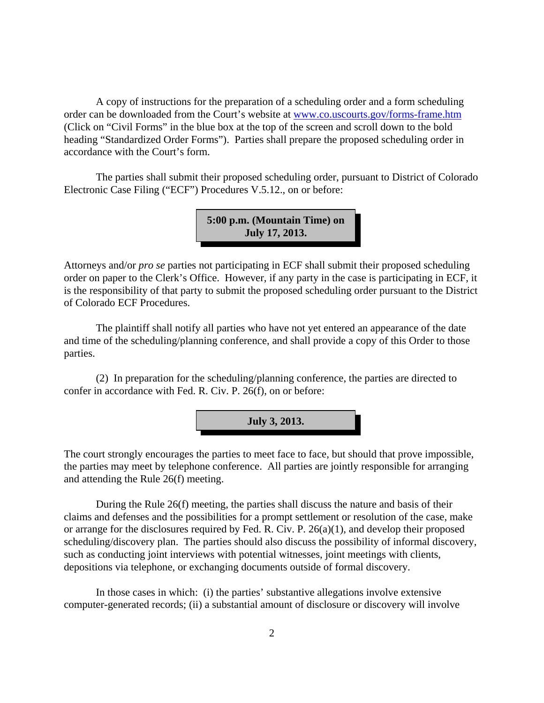A copy of instructions for the preparation of a scheduling order and a form scheduling order can be downloaded from the Court's website at www.co.uscourts.gov/forms-frame.htm (Click on "Civil Forms" in the blue box at the top of the screen and scroll down to the bold heading "Standardized Order Forms"). Parties shall prepare the proposed scheduling order in accordance with the Court's form.

The parties shall submit their proposed scheduling order, pursuant to District of Colorado Electronic Case Filing ("ECF") Procedures V.5.12., on or before:

> **5:00 p.m. (Mountain Time) on July 17, 2013.**

Attorneys and/or *pro se* parties not participating in ECF shall submit their proposed scheduling order on paper to the Clerk's Office. However, if any party in the case is participating in ECF, it is the responsibility of that party to submit the proposed scheduling order pursuant to the District of Colorado ECF Procedures.

The plaintiff shall notify all parties who have not yet entered an appearance of the date and time of the scheduling/planning conference, and shall provide a copy of this Order to those parties.

(2) In preparation for the scheduling/planning conference, the parties are directed to confer in accordance with Fed. R. Civ. P. 26(f), on or before:



The court strongly encourages the parties to meet face to face, but should that prove impossible, the parties may meet by telephone conference. All parties are jointly responsible for arranging and attending the Rule 26(f) meeting.

During the Rule 26(f) meeting, the parties shall discuss the nature and basis of their claims and defenses and the possibilities for a prompt settlement or resolution of the case, make or arrange for the disclosures required by Fed. R. Civ. P. 26(a)(1), and develop their proposed scheduling/discovery plan. The parties should also discuss the possibility of informal discovery, such as conducting joint interviews with potential witnesses, joint meetings with clients, depositions via telephone, or exchanging documents outside of formal discovery.

In those cases in which: (i) the parties' substantive allegations involve extensive computer-generated records; (ii) a substantial amount of disclosure or discovery will involve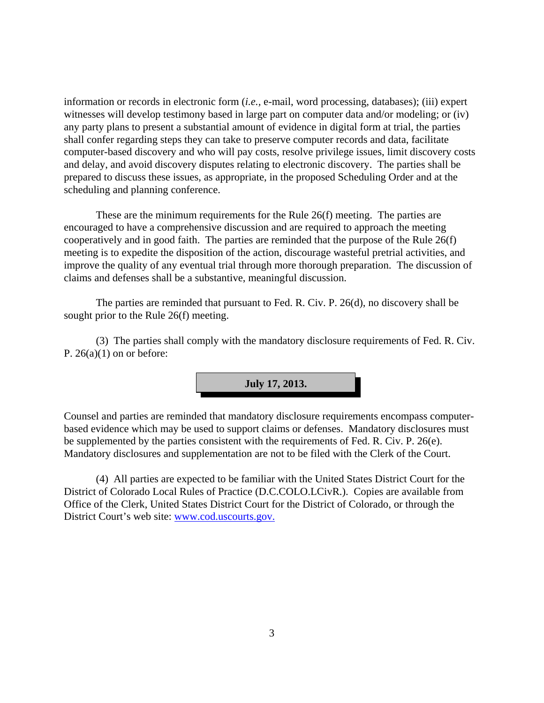information or records in electronic form (*i.e.,* e-mail, word processing, databases); (iii) expert witnesses will develop testimony based in large part on computer data and/or modeling; or (iv) any party plans to present a substantial amount of evidence in digital form at trial, the parties shall confer regarding steps they can take to preserve computer records and data, facilitate computer-based discovery and who will pay costs, resolve privilege issues, limit discovery costs and delay, and avoid discovery disputes relating to electronic discovery. The parties shall be prepared to discuss these issues, as appropriate, in the proposed Scheduling Order and at the scheduling and planning conference.

These are the minimum requirements for the Rule 26(f) meeting. The parties are encouraged to have a comprehensive discussion and are required to approach the meeting cooperatively and in good faith. The parties are reminded that the purpose of the Rule 26(f) meeting is to expedite the disposition of the action, discourage wasteful pretrial activities, and improve the quality of any eventual trial through more thorough preparation. The discussion of claims and defenses shall be a substantive, meaningful discussion.

The parties are reminded that pursuant to Fed. R. Civ. P. 26(d), no discovery shall be sought prior to the Rule 26(f) meeting.

(3) The parties shall comply with the mandatory disclosure requirements of Fed. R. Civ. P.  $26(a)(1)$  on or before:



Counsel and parties are reminded that mandatory disclosure requirements encompass computerbased evidence which may be used to support claims or defenses. Mandatory disclosures must be supplemented by the parties consistent with the requirements of Fed. R. Civ. P. 26(e). Mandatory disclosures and supplementation are not to be filed with the Clerk of the Court.

(4) All parties are expected to be familiar with the United States District Court for the District of Colorado Local Rules of Practice (D.C.COLO.LCivR.). Copies are available from Office of the Clerk, United States District Court for the District of Colorado, or through the District Court's web site: www.cod.uscourts.gov.